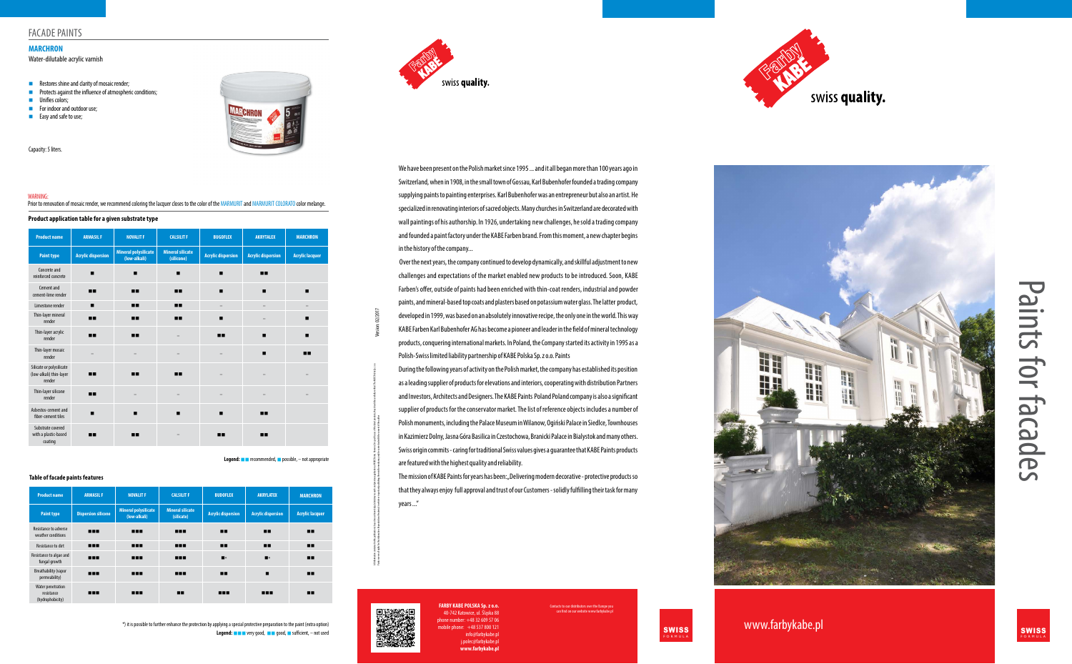www.farbykabe.pl SWISS



**Legend:**  $\blacksquare$  **I** very good,  $\blacksquare$  good,  $\blacksquare$  sufficient, – not used \*) it is possible to further enhance the protection by applying a special protective preparation to the paint (extra option)









| <b>Product name</b>                                           | <b>ARMASIL F</b>          | <b>NOVALIT F</b>                            | <b>CALSILIT F</b>                     | <b>BUGOFLEX</b>           | <b>AKRYTALEX</b>          | <b>MARCHRON</b>        |
|---------------------------------------------------------------|---------------------------|---------------------------------------------|---------------------------------------|---------------------------|---------------------------|------------------------|
| <b>Paint type</b>                                             | <b>Acrylic dispersion</b> | <b>Mineral polysilicate</b><br>(low-alkali) | <b>Mineral silicate</b><br>(silicone) | <b>Acrylic dispersion</b> | <b>Acrylic dispersion</b> | <b>Acrylic lacquer</b> |
| Concrete and<br>reinforced concrete                           | ▬                         | п                                           | ▬                                     | $\blacksquare$            | п.                        |                        |
| Cement and<br>cement-lime render                              | 88                        | п.                                          | 88                                    | ▬                         | ▬                         | ▬                      |
| Limestone render                                              | ▪                         | п.                                          | 88                                    | $\overline{\phantom{0}}$  |                           |                        |
| Thin-layer mineral<br>render                                  | 88                        | п.                                          | ш                                     | ▬                         |                           | п                      |
| Thin-layer acrylic<br>render                                  | 88                        | п.                                          |                                       | 88                        | ▬                         | п                      |
| Thin-layer mosaic<br>render                                   |                           |                                             |                                       |                           | ■                         | <b>HH</b>              |
| Silicate or polysilicate<br>(low-alkali) thin-layer<br>render | ш                         | п.                                          | ш                                     |                           |                           |                        |
| Thin-layer silicone<br>render                                 | 88                        |                                             |                                       |                           |                           |                        |
| Asbestos-cement and<br>fiber-cement tiles                     |                           | ▬                                           | ■                                     | ▬                         | ш                         |                        |
| Substrate covered<br>with a plastic-based<br>coating          | --                        | ш                                           |                                       | п.                        | --                        |                        |

# Paints for facades aints for facades

### Legend: **nd recommended, a** possible,  $-$  not appropriate

| <b>Product name</b>                                        | <b>ARMASIL F</b>           | <b>NOVALIT F</b>                            | <b>CALSILIT F</b>                     | <b>BUDOFLEX</b>           | <b>AKRYLATEX</b>          | <b>MARCHRON</b>        |
|------------------------------------------------------------|----------------------------|---------------------------------------------|---------------------------------------|---------------------------|---------------------------|------------------------|
| <b>Paint type</b>                                          | <b>Dispersion silicone</b> | <b>Mineral polysilicate</b><br>(low-alkali) | <b>Mineral silicate</b><br>(silicate) | <b>Acrylic dispersion</b> | <b>Acrylic dispersion</b> | <b>Acrylic lacquer</b> |
| Resistance to adverse<br>weather conditions                |                            |                                             | <b>HILL</b>                           | ш                         | ш                         | ш                      |
| Resistance to dirt                                         |                            |                                             |                                       | ш                         | ш                         | ш                      |
| Resistance to algae and<br>fungal growth                   | <b>HER</b>                 | <b>HEL</b>                                  | <b>HH</b>                             | $\blacksquare$ $\star$    | $\blacksquare$            | ш                      |
| <b>Breathability (vapor</b><br>permeability)               | <b>HER</b>                 | <b>HEL</b>                                  |                                       | ш                         |                           | ш                      |
| <b>Water penetration</b><br>resistance<br>(hydrophobicity) | <b>HH</b>                  | <b>HEL</b>                                  | ш                                     | <b>HH</b>                 | <b>HER</b>                | ш                      |

### **Product application table for a given substrate type**

### **Table of facade paints features**

### Water-dilutable acrylic varnish

- $\blacksquare$  Restores shine and clarity of mosaic render:
- $\blacksquare$  Protects against the influence of atmospheric conditions;
- **n** Unifies colors;

# **MARCHRON**

Capacity: 5 liters.

- $\blacksquare$  For indoor and outdoor use;
- $\blacksquare$  Easy and safe to use;

### WARNING:

Prior to renovation of mosaic render, we recommend coloring the lacquer closes to the color of the MARMURIT and MARMURIT COLORATO color melange.

# FACADE PAINTS

The mission of KABE Paints for years has been: "Delivering modern decorative - protective products so that they always enjoy full approval and trust of our Customers - solidly fulfilling their task for many years ..."



Ill information ontained in this publication is based on our knowledge, labilities and provided on the Market for specific use of the like of the pyshould be and dily verified. The KABEPaSka Sp. z o.a.

Paints reserve all rights for this elaboration of materials in whole or in part and publishing them in the media may only be carried out of the media may only be carried out of the author Version: 02/2017 02/2017

to our distributors over the Europe you can find on our website www.farbykabe.pl

We have been present on the Polish market since 1995 ... and it all began more than 100 years ago in Switzerland, when in 1908, in the small town of Gossau, Karl Bubenhofer founded a trading company supplying paints to painting enterprises. Karl Bubenhofer was an entrepreneur but also an artist. He specialized in renovating interiors of sacred objects. Many churches in Switzerland are decorated with wall paintings of his authorship. In 1926, undertaking new challenges, he sold a trading company and founded a paint factory under the KABE Farben brand. From this moment, a new chapter begins in the history of the company...

 Over the next years, the company continued to develop dynamically, and skillful adjustment to new challenges and expectations of the market enabled new products to be introduced. Soon, KABE Farben's offer, outside of paints had been enriched with thin-coat renders, industrial and powder paints, and mineral-based top coats and plasters based on potassium water glass. The latter product, developed in 1999, was based on an absolutely innovative recipe, the only one in the world. This way KABE Farben Karl Bubenhofer AG has become a pioneer and leader in the field of mineral technology products, conquering international markets. In Poland, the Company started its activity in 1995 as a Polish-Swiss limited liability partnership of KABE Polska Sp. z o.o. Paints

During the following years of activity on the Polish market, the company has established its position as a leading supplier of products for elevations and interiors, cooperating with distribution Partners and Investors, Architects and Designers. The KABE Paints Poland Poland company is also a significant supplier of products for the conservator market. The list of reference objects includes a number of Polish monuments, including the Palace Museum in Wilanow, Ogiński Palace in Siedlce, Townhouses in Kazimierz Dolny, Jasna Góra Basilica in Czestochowa, Branicki Palace in Bialystok and many others. Swiss origin commits - caring for traditional Swiss values gives a guarantee that KABE Paints products are featured with the highest quality and reliability.

> **FARBY KABE POLSKA Sp. z o.o.** 40-742 Katowice, ul. Śląska 88  $p$ ne number:  $+48$  32 609 57 06  $m$ e:  $+48$  537 800 121 info@farbykabe.pl j.polec@farbykabe.pl **www.farbykabe.pl**